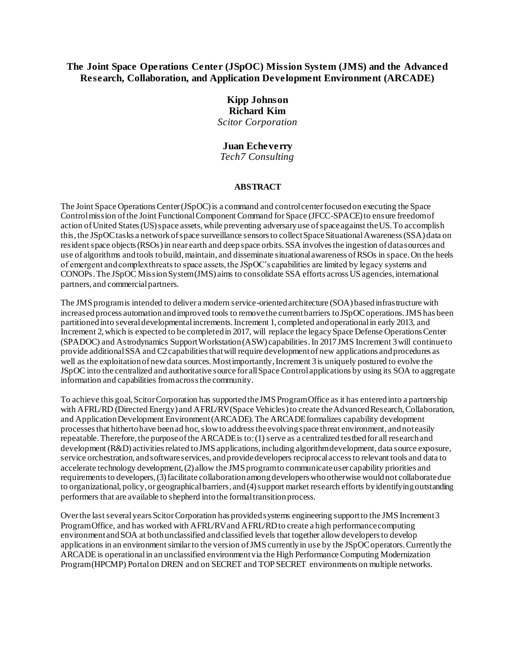## **The Joint Space Operations Center (JSpOC) Mission System (JMS) and the Advanced Research, Collaboration, and Application Development Environment (ARCADE)**

# **Kipp Johnson Richard Kim** *Scitor Corporation*

## **Juan Echeverry**

*Tech7 Consulting*

#### **ABSTRACT**

The Joint Space Operations Center (JSpOC) is a command and control center focused on executing the Space Control mission of the Joint Functional Component Command for Space (JFCC-SPACE) to ensure freedom of action of United States (US) space assets, while preventing adversary use of space against the US. To accomplish this, the JSpOC tasks a network of space surveillance sensors to collect Space Situational Awareness (SSA) data on resident space objects (RSOs) in near earth and deep space orbits. SSA involves the ingestion of data sources and use of algorithms and tools to build, maintain, and disseminate situational awareness of RSOs in space. On the heels of emergent and complex threats to space assets, the JSpOC's capabilities are limited by legacy systems and CONOPs. The JSpOC Mission System (JMS) aims to consolidate SSA efforts across US agencies, international partners, and commercial partners.

The JMS program is intended to deliver a modern service-oriented architecture (SOA) based infrastructure with increased process automation and improved tools to remove the current barriers to JSpOC operations. JMS has been partitioned into several developmental increments. Increment 1, completed and operational in early 2013, and Increment 2, which is expected to be completed in 2017, will replace the legacy Space Defense Operations Center (SPADOC) and Astrodynamics Support Workstation (ASW) capabilities. In 2017 JMS Increment 3 will continue to provide additional SSA and C2 capabilities that will require development of new applications and procedures as well as the exploitation of new data sources. Most importantly, Increment 3 is uniquely postured to evolve the JSpOC into the centralized and authoritative source for all Space Control applications by using its SOA to aggregate information and capabilities from across the community.

To achieve this goal, Scitor Corporation has supported the JMS Program Office as it has entered into a partnership with AFRL/RD (Directed Energy) and AFRL/RV (Space Vehicles) to create the Advanced Research, Collaboration, and Application Development Environment (ARCADE). The ARCADE formalizes capability development processes that hitherto have been ad hoc, slow to address the evolving space threat environment, and not easily repeatable. Therefore, the purpose of the ARCADE is to: (1) serve as a centralized testbed for all research and development (R&D) activities related to JMS applications, including algorithm development, data source exposure, service orchestration, and software services, and provide developers reciprocal access to relevant tools and data to accelerate technology development, (2) allow the JMS program to communicate user capability priorities and requirements to developers, (3) facilitate collaboration among developers who otherwise would not collaborate due to organizational, policy, or geographical barriers, and (4) support market research efforts by identifying outstanding performers that are available to shepherd into the formal transition process.

Over the last several years Scitor Corporation has provided systems engineering support to the JMS Increment 3 Program Office, and has worked with AFRL/RV and AFRL/RD to create a high performance computing environment and SOA at both unclassified and classified levels that together allow developers to develop applications in an environment similar to the version of JMS currently in use by the JSpOC operators. Currently the ARCADE is operational in an unclassified environment via the High Performance Computing Modernization Program (HPCMP) Portal on DREN and on SECRET and TOP SECRET environments on multiple networks.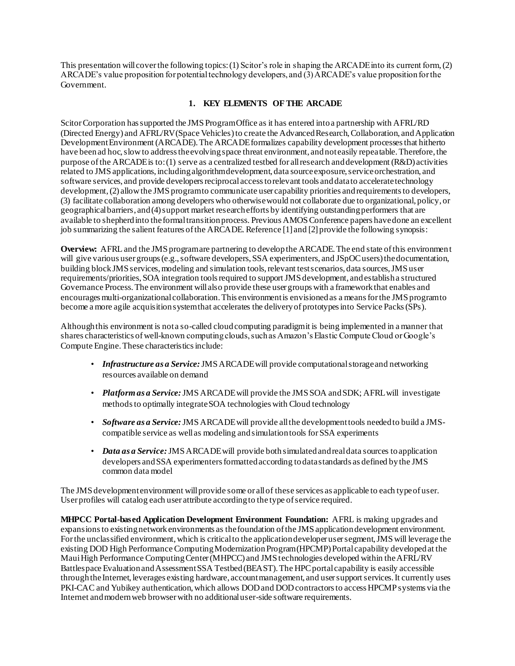This presentation will cover the following topics: (1) Scitor's role in shaping the ARCADE into its current form, (2) ARCADE's value proposition for potential technology developers, and (3) ARCADE's value proposition for the Government.

## **1. KEY ELEMENTS OF THE ARCADE**

Scitor Corporation has supported the JMS Program Office as it has entered into a partnership with AFRL/RD (Directed Energy) and AFRL/RV (Space Vehicles) to create the Advanced Research, Collaboration, and Application Development Environment (ARCADE). The ARCADE formalizes capability development processes that hitherto have been ad hoc, slow to address the evolving space threat environment, and not easily repeatable. Therefore, the purpose of the ARCADE is to: (1) serve as a centralized testbed for all research and development (R&D) activities related to JMS applications, including algorithm development, data source exposure, service orchestration, and software services, and provide developers reciprocal access to relevant tools and data to accelerate technology development, (2) allow the JMS program to communicate user capability priorities and requirements to developers, (3) facilitate collaboration among developers who otherwise would not collaborate due to organizational, policy, or geographical barriers, and (4) support market research efforts by identifying outstanding performers that are available to shepherd into the formal transition process. Previous AMOS Conference papers have done an excellent job summarizing the salient features of the ARCADE. Reference [1] and [2] provide the following synopsis:

**Overview:** AFRL and the JMS program are partnering to develop the ARCADE. The end state of this environment will give various user groups (e.g., software developers, SSA experimenters, and JSpOC users) the documentation, building block JMS services, modeling and simulation tools, relevant test scenarios, data sources, JMS user requirements/priorities, SOA integration tools required to support JMS development, and establish a structured Governance Process. The environment will also provide these user groups with a framework that enables and encourages multi-organizational collaboration. This environment is envisioned as a means for the JMS program to become a more agile acquisition system that accelerates the delivery of prototypes into Service Packs (SPs).

Although this environment is not a so-called cloud computing paradigm it is being implemented in a manner that shares characteristics of well-known computing clouds, such as Amazon's Elastic Compute Cloud or Google's Compute Engine. These characteristics include:

- *Infrastructure as a Service:* JMS ARCADE will provide computational storage and networking resources available on demand
- *Platform as a Service:* JMS ARCADE will provide the JMS SOA and SDK; AFRL will investigate methods to optimally integrate SOA technologies with Cloud technology
- *Software as a Service:* JMS ARCADE will provide all the development tools needed to build a JMScompatible service as well as modeling and simulation tools for SSA experiments
- *Data as a Service:* JMS ARCADE will provide both simulated and real data sources to application developers and SSA experimenters formatted according to data standards as defined by the JMS common data model

The JMS development environment will provide some or all of these services as applicable to each type of user. User profiles will catalog each user attribute according to the type of service required.

**MHPCC Portal-based Application Development Environment Foundation:** AFRL is making upgrades and expansions to existing network environments as the foundation of the JMS application development environment. For the unclassified environment, which is critical to the application developer user segment, JMS will leverage the existing DOD High Performance Computing Modernization Program (HPCMP) Portal capability developed at the Maui High Performance Computing Center (MHPCC) and JMS technologies developed within the AFRL/RV Battlespace Evaluation and Assessment SSA Testbed (BEAST). The HPC portal capability is easily accessible through the Internet, leverages existing hardware, account management, and user support services. It currently uses PKI-CAC and Yubikey authentication, which allows DOD and DOD contractors to access HPCMP systems via the Internet and modern web browser with no additional user-side software requirements.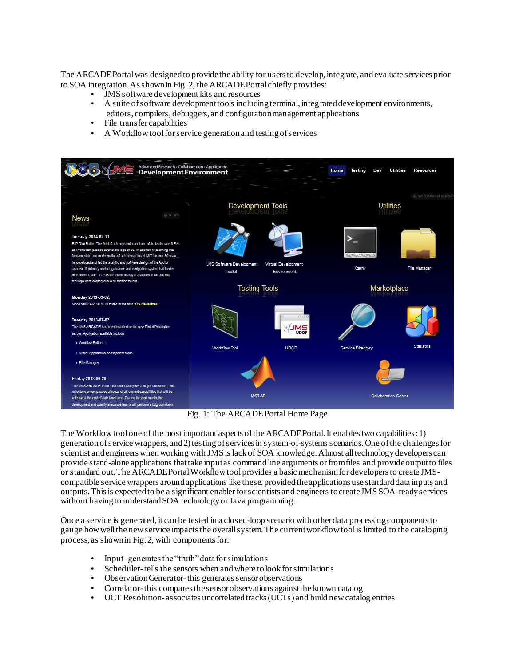The ARCADE Portal was designed to provide the ability for users to develop, integrate, and evaluate services prior to SOA integration. As shown in Fig. 2, the ARCADE Portal chiefly provides:

- JMS software development kits and resources
- A suite of software development tools including terminal, integrated development environments, editors, compilers, debuggers, and configuration management applications
- File transfer capabilities
- A Workflow tool for service generation and testing of services



Fig. 1: The ARCADE Portal Home Page

The Workflow tool one ofthe most important aspects of the ARCADE Portal. It enables two capabilities:1) generation of service wrappers, and 2) testing of services in system-of-systems scenarios. One of the challenges for scientist and engineers when working with JMS is lack of SOA knowledge. Almost all technology developers can provide stand-alone applications that take input as command line arguments or from files and provide output to files or standard out. The ARCADE Portal Workflow tool provides a basic mechanism for developers to create JMScompatible service wrappers around applications like these, provided the applications use standard data inputs and outputs. This is expected to be a significant enabler for scientists and engineers to create JMS SOA-ready services without having to understand SOA technology or Java programming.

Once a service is generated, it can be tested in a closed-loop scenario with other data processing components to gauge how well the new service impacts the overall system. The current workflow tool is limited to the cataloging process, as shown in Fig. 2, with components for:

- Input- generates the "truth" data for simulations
- Scheduler-tells the sensors when and where to look for simulations
- Observation Generator-this generates sensor observations
- Correlator-this compares the sensor observations against the known catalog
- UCT Resolution- associates uncorrelated tracks (UCTs) and build new catalog entries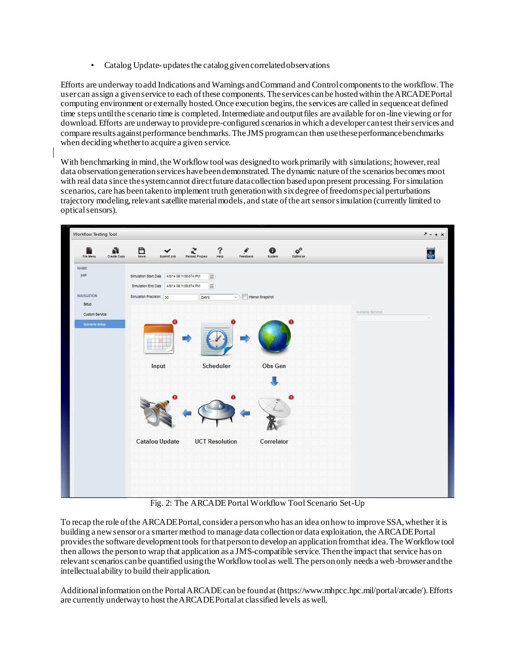• Catalog Update- updates the catalog given correlated observations

Efforts are underway to add Indications and Warnings and Command and Control components to the workflow. The user can assign a given service to each of these components. The services can be hosted within the ARCADE Portal computing environment or externally hosted. Once execution begins, the services are called in sequence at defined time steps until the scenario time is completed. Intermediate and output files are available for on-line viewing or for download. Efforts are underway to provide pre-configured scenarios in which a developer can test their services and compare results against performance benchmarks. The JMS program can then use these performance benchmarks when deciding whether to acquire a given service.

With benchmarking in mind, the Workflow tool was designed to work primarily with simulations; however, real data observation generation services have been demonstrated. The dynamic nature of the scenarios becomes moot with real data since the system cannot direct future data collection based upon present processing. For simulation scenarios, care has been taken to implement truth generation with six degree of freedom special perturbations trajectory modeling, relevant satellite material models, and state of the art sensor simulation (currently limited to optical sensors).



Fig. 2: The ARCADE Portal Workflow Tool Scenario Set-Up

To recap the role of the ARCADE Portal, consider a person who has an idea on how to improve SSA, whether it is building a new sensor or a smarter method to manage data collection or data exploitation, the ARCADE Portal provides the software development tools for that person to develop an application from that idea. The Workflow tool then allows the person to wrap that application as a JMS-compatible service. Then the impact that service has on relevant scenarios can be quantified using the Workflow tool as well. The person only needs a web-browser and the intellectual ability to build their application.

Additional information on the Portal ARCADE can be found at (https://www.mhpcc.hpc.mil/portal/arcade/). Efforts are currently underway to host the ARCADE Portal at classified levels as well.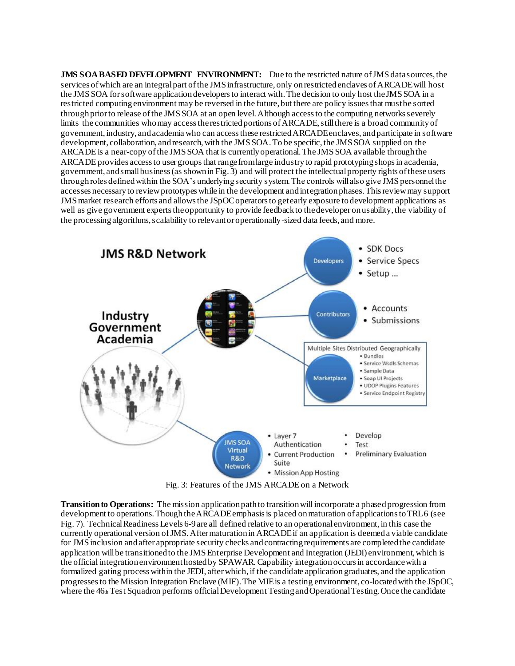**JMS SOA BASED DEVELOPMENT ENVIRONMENT:** Due to the restricted nature of JMS datasources, the services of which are an integral part of the JMS infrastructure, only on restricted enclaves of ARCADE will host the JMS SOA for software application developers to interact with. The decision to only host the JMS SOA in a restricted computing environment may be reversed in the future, but there are policy issues that must be sorted through prior to release of the JMS SOA at an open level. Although access to the computing networks severely limits the communities who may access the restricted portions of ARCADE, still there is a broad community of government, industry, and academia who can access these restricted ARCADE enclaves, and participate in software development, collaboration, and research, with the JMS SOA. To be specific, the JMS SOA supplied on the ARCADE is a near-copy of the JMS SOA that is currently operational. The JMS SOA available through the ARCADE provides access to user groups that range from large industry to rapid prototyping shops in academia, government, and small business (as shown in Fig. 3) and will protect the intellectual property rights of these users through roles defined within the SOA's underlying security system. The controls will also give JMS personnel the accesses necessary to review prototypes while in the development and integration phases. This review may support JMS market research efforts and allows the JSpOC operators to get early exposure to development applications as well as give government experts the opportunity to provide feedback to the developer on usability, the viability of the processing algorithms, scalability to relevant or operationally-sized data feeds, and more.



Fig. 3: Features of the JMS ARCADE on a Network

**Transition to Operations:** The mission application path to transition will incorporate a phased progression from development to operations. Though the ARCADE emphasis is placed on maturation of applications to TRL 6 (see Fig. 7). Technical Readiness Levels 6-9 are all defined relative to an operational environment, in this case the currently operational version of JMS. After maturation in ARCADE if an application is deemed a viable candidate for JMS inclusion and after appropriate security checks and contracting requirements are completed the candidate application will be transitioned to the JMS Enterprise Development and Integration (JEDI) environment, which is the official integration environment hosted by SPAWAR. Capability integration occurs in accordance with a formalized gating process within the JEDI, after which, if the candidate application graduates, and the application progresses to the Mission Integration Enclave (MIE). The MIE is a testing environment, co-located with the JSpOC, where the 46th Test Squadron performs official Development Testing and Operational Testing. Once the candidate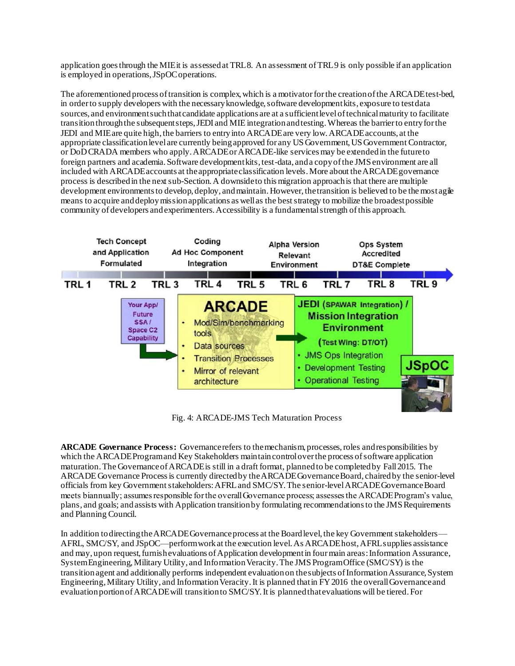application goes through the MIE it is assessed at TRL 8. An assessment of TRL 9 is only possible if an application is employed in operations, JSpOC operations.

The aforementioned process of transition is complex, which is a motivator for the creation of the ARCADE test-bed, in order to supply developers with the necessary knowledge, software development kits, exposure to test data sources, and environment such that candidate applications are at a sufficient level of technical maturity to facilitate transition through the subsequent steps, JEDI and MIE integration and testing. Whereas the barrier to entry for the JEDI and MIE are quite high, the barriers to entry into ARCADE are very low. ARCADE accounts, at the appropriate classification level are currently being approved for any US Government, US Government Contractor, or DoD CRADA members who apply. ARCADE or ARCADE-like services may be extended in the future to foreign partners and academia. Software development kits, test-data, and a copy of the JMS environment are all included with ARCADE accounts at the appropriate classification levels. More about the ARCADE governance process is described in the next sub-Section. A downside to this migration approach is that there are multiple development environments to develop, deploy, and maintain. However, the transition is believed to be the most agile means to acquire and deploy mission applications as well as the best strategy to mobilize the broadest possible community of developers and experimenters. Accessibility is a fundamental strength of this approach.



Fig. 4: ARCADE-JMS Tech Maturation Process

**ARCADE Governance Process:** Governance refers to the mechanism, processes, roles and responsibilities by which the ARCADE Program and Key Stakeholders maintain control over the process of software application maturation. The Governance of ARCADE is still in a draft format, planned to be completed by Fall 2015. The ARCADE Governance Process is currently directed by the ARCADE Governance Board, chaired by the senior-level officials from key Government stakeholders: AFRLand SMC/SY. The senior-level ARCADE Governance Board meets biannually; assumes responsible for the overall Governance process; assesses the ARCADE Program's value, plans, and goals; and assists with Application transition by formulating recommendations to the JMS Requirements and Planning Council.

In addition to directing the ARCADE Governance process at the Board level, the key Government stakeholders— AFRL, SMC/SY, and JSpOC—perform work at the execution level. As ARCADE host, AFRL supplies assistance and may, upon request, furnish evaluations of Application development in four main areas: Information Assurance, System Engineering, Military Utility, and Information Veracity. The JMS Program Office (SMC/SY) is the transition agent and additionally performs independent evaluation on the subjects of Information Assurance, System Engineering, Military Utility, and Information Veracity. It is planned that in FY 2016 the overall Governance and evaluation portion of ARCADE will transition to SMC/SY. It is planned that evaluations will be tiered. For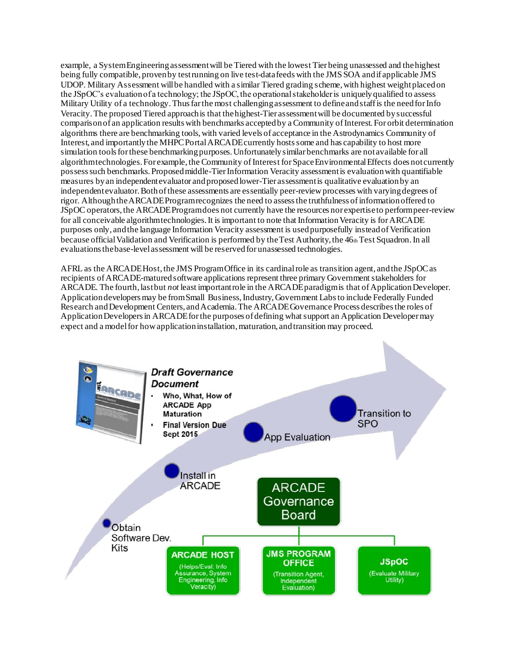example, a System Engineering assessment will be Tiered with the lowest Tier being unassessed and the highest being fully compatible, proven by test running on live test-data feeds with the JMS SOA and if applicable JMS UDOP. Military Assessment will be handled with a similar Tiered grading scheme, with highest weight placed on the JSpOC's evaluation of a technology; the JSpOC, the operational stakeholder is uniquely qualified to assess Military Utility of a technology. Thus far the most challenging assessment to define and staff is the need for Info Veracity. The proposed Tiered approach is that the highest-Tier assessment will be documented by successful comparison of an application results with benchmarks accepted by a Community of Interest. For orbit determination algorithms there are benchmarking tools, with varied levels of acceptance in the Astrodynamics Community of Interest, and importantly the MHPC Portal ARCADE currently hosts some and has capability to host more simulation tools for these benchmarking purposes. Unfortunately similar benchmarks are not available for all algorithm technologies. For example, the Community of Interest for Space Environmental Effects does not currently possess such benchmarks. Proposed middle-Tier Information Veracity assessment is evaluation with quantifiable measures by an independent evaluator and proposed lower-Tier assessment is qualitative evaluation by an independent evaluator. Both of these assessments are essentially peer-review processes with varying degrees of rigor. Although the ARCADE Program recognizes the need to assess the truthfulness of information offered to JSpOC operators, the ARCADE Program does not currently have the resources nor expertise to perform peer-review for all conceivable algorithm technologies. It is important to note that Information Veracity is for ARCADE purposes only, and the language Information Veracity assessment is used purposefully instead of Verification because official Validation and Verification is performed by the Test Authority, the 46th Test Squadron. In all evaluations the base-level assessment will be reserved for unassessed technologies.

AFRL as the ARCADE Host, the JMS Program Office in its cardinal role as transition agent, and the JSpOC as recipients of ARCADE-matured software applications represent three primary Government stakeholders for ARCADE. The fourth, last but *not* least important role in the ARCADE paradigm is that of Application Developer. Application developers may be from Small Business, Industry, Government Labs to include Federally Funded Research and Development Centers, and Academia. The ARCADE Governance Process describes the roles of Application Developers in ARCADE for the purposes of defining what support an Application Developer may expect and a model for how application installation, maturation, and transition may proceed.

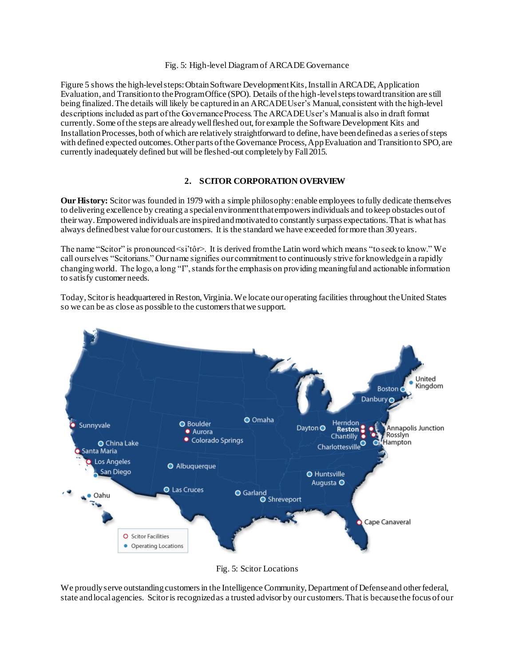#### Fig. 5: High-level Diagram of ARCADE Governance

Figure 5 shows the high-level steps: Obtain Software Development Kits, Install in ARCADE, Application Evaluation, and Transition to the Program Office (SPO). Details of the high-level steps toward transition are still being finalized. The details will likely be captured in an ARCADE User's Manual, consistent with the high-level descriptions included as part of the Governance Process. The ARCADE User's Manual is also in draft format currently. Some of the steps are already well fleshed out, for example the Software Development Kits and Installation Processes, both of which are relatively straightforward to define, have been defined as a series of steps with defined expected outcomes. Other parts of the Governance Process, App Evaluation and Transition to SPO, are currently inadequately defined but will be fleshed-out completely by Fall2015.

### **2. SCITOR CORPORATION OVERVIEW**

**Our History:** Scitor was founded in 1979 with a simple philosophy: enable employees to fully dedicate themselves to delivering excellence by creating a special environment that empowers individuals and to keep obstacles out of their way. Empowered individuals are inspired and motivated to constantly surpass expectations. That is what has always defined best value for our customers. It is the standard we have exceeded for more than 30 years.

The name "Scitor" is pronounced <si'tôr>. It is derived from the Latin word which means "to seek to know." We call ourselves "Scitorians." Our name signifies our commitment to continuously strive for knowledge in a rapidly changing world. The logo, a long "I", stands for the emphasis on providing meaningful and actionable information to satisfy customer needs.

Today, Scitor is headquartered in Reston, Virginia. We locate our operating facilities throughout the United States so we can be as close as possible to the customers that we support.



Fig. 5: Scitor Locations

We proudly serve outstanding customers in the Intelligence Community, Department of Defense and other federal, state and local agencies. Scitor is recognized as a trusted advisor by our customers. That is because the focus of our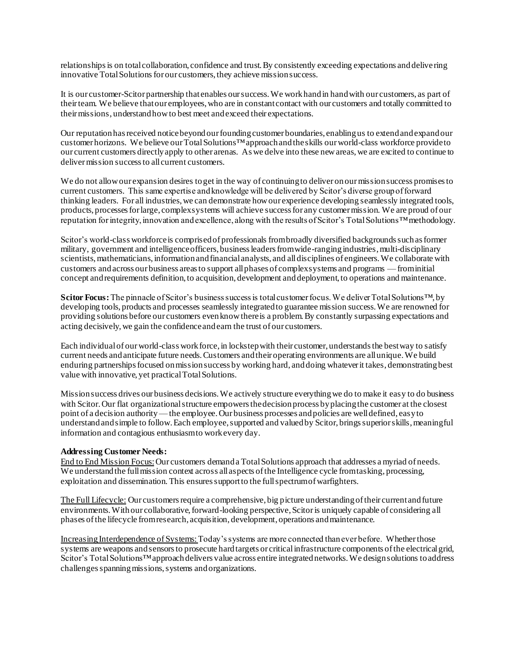relationships is on total collaboration, confidence and trust. By consistently exceeding expectations and delivering innovative Total Solutions for our customers, they achieve mission success.

It is our customer-Scitor partnership that enables our success. We work hand in hand with our customers, as part of their team. We believe that our employees, who are in constant contact with our customers and totally committed to their missions, understand how to best meet and exceed their expectations.

Our reputation has received notice beyond our founding customer boundaries, enabling us to extend and expand our customer horizons. We believe our Total Solutions™approach and the skills our world-class workforce provide to our current customers directly apply to other arenas. As we delve into these new areas, we are excited to continue to deliver mission success to all current customers.

We do not allow our expansion desires to get in the way of continuing to deliver on our mission success promises to current customers. This same expertise and knowledge will be delivered by Scitor's diverse group of forward thinking leaders. For all industries, we can demonstrate how our experience developing seamlessly integrated tools, products, processes for large, complex systems will achieve success for any customer mission. We are proud of our reputation for integrity, innovation and excellence, along with the results of Scitor's Total Solutions™methodology.

Scitor's world-class workforce is comprised of professionals from broadly diversified backgrounds such as former military, government and intelligence officers, business leaders from wide-ranging industries, multi-disciplinary scientists, mathematicians, information and financial analysts, and all disciplines of engineers. We collaborate with customers and across our business areas to support all phases of complex systems and programs —from initial concept and requirements definition, to acquisition, development and deployment, to operations and maintenance.

**Scitor Focus:**The pinnacle of Scitor's business success is total customer focus. We deliver Total Solutions™, by developing tools, products and processes seamlessly integrated to guarantee mission success. We are renowned for providing solutions before our customers even know there is a problem. By constantly surpassing expectations and acting decisively, we gain the confidence and earn the trust of our customers.

Each individual of our world-class work force, in lockstep with their customer, understands the best way to satisfy current needs and anticipate future needs. Customers and their operating environments are all unique. We build enduring partnerships focused on mission success by working hard, and doing whatever it takes, demonstrating best value with innovative, yet practical Total Solutions.

Mission success drives our business decisions. We actively structure everything we do to make it easy to do business with Scitor. Our flat organizational structure empowers the decision process by placing the customer at the closest point of a decision authority —the employee. Our business processes and policies are well defined, easy to understand and simple to follow. Each employee, supported and valued by Scitor, brings superior skills, meaningful information and contagious enthusiasm to work every day.

#### **Addressing Customer Needs:**

End to End Mission Focus: Our customers demand a Total Solutions approach that addresses a myriad of needs. We understand the full mission context across all aspects of the Intelligence cycle from tasking, processing, exploitation and dissemination. This ensures support to the full spectrum of warfighters.

The Full Lifecycle: Our customers require a comprehensive, big picture understanding of their current and future environments. With our collaborative, forward-looking perspective, Scitor is uniquely capable of considering all phases of the lifecycle from research, acquisition, development, operations and maintenance.

Increasing Interdependence of Systems: Today's systems are more connected than ever before. Whether those systems are weapons and sensors to prosecute hard targets or critical infrastructure components of the electrical grid, Scitor's Total Solutions™approach delivers value across entire integrated networks. We design solutions to address challenges spanning missions, systems and organizations.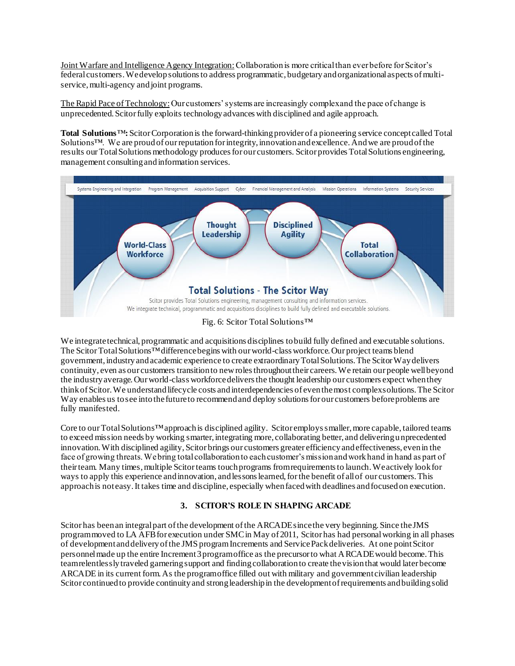Joint Warfare and Intelligence Agency Integration:Collaboration is more critical than ever before for Scitor's federal customers. We develop solutions to address programmatic, budgetary and organizational aspects of multiservice, multi-agency and joint programs.

The Rapid Pace of Technology:Our customers' systems are increasingly complex and the pace of change is unprecedented. Scitor fully exploits technology advances with disciplined and agile approach.

**Total Solutions**™**:**Scitor Corporation is the forward-thinking provider of a pioneering service concept called Total Solutions™. We are proud of our reputation for integrity, innovation and excellence. And we are proud of the results our Total Solutions methodology produces for our customers. Scitor provides Total Solutions engineering, management consulting and information services.



Fig. 6: Scitor Total Solutions™

We integrate technical, programmatic and acquisitions disciplines to build fully defined and executable solutions. The Scitor Total Solutions™difference begins with our world-class workforce. Our project teams blend government, industry and academic experience to create extraordinary Total Solutions. The Scitor Way delivers continuity, even as our customers transition to new roles throughout their careers. We retain our people well beyond the industry average. Our world-class workforce delivers the thought leadership our customers expect when they think of Scitor. We understand lifecycle costs and interdependencies of even the most complex solutions. The Scitor Way enables us to see into the future to recommend and deploy solutions for our customers before problems are fully manifested.

Core to our Total Solutions™approach is disciplined agility. Scitor employs smaller, more capable, tailored teams to exceed mission needs by working smarter, integrating more, collaborating better, and delivering unprecedented innovation. With disciplined agility, Scitor brings our customers greater efficiency and effectiveness, even in the face of growing threats. We bring total collaboration to each customer's mission and work hand in hand as part of their team. Many times, multiple Scitor teams touch programs from requirements to launch. We actively look for ways to apply this experience and innovation, and lessons learned, for the benefit of all of our customers. This approach is not easy. It takes time and discipline, especially when faced with deadlines and focused on execution.

# **3. SCITOR'S ROLE IN SHAPING ARCADE**

Scitor has been an integral part of the development of the ARCADE since the very beginning. Since the JMS program moved to LA AFB for execution under SMCin May of 2011, Scitor has had personal working in all phases of development and delivery of the JMS programIncrements and Service Pack deliveries. At one point Scitor personnel made up the entire Increment 3 program office as the precursor to what ARCADE would become. This team relentlessly traveled garnering support and finding collaboration to create the vision that would later become ARCADE in its current form. As the program office filled out with military and government civilian leadership Scitor continued to provide continuity and strong leadership in the development of requirements and building solid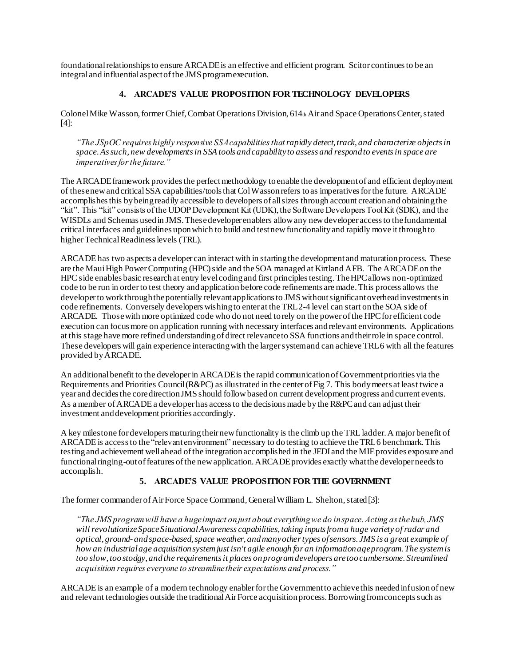foundational relationships to ensure ARCADE is an effective and efficient program. Scitor continues to be an integral and influential aspect of the JMS program execution.

### **4. ARCADE'S VALUE PROPOSITION FOR TECHNOLOGY DEVELOPERS**

Colonel Mike Wasson, former Chief, Combat Operations Division, 614th Air and Space Operations Center, stated [4]:

*"The JSpOC requires highly responsive SSA capabilities thatrapidly detect, track, and characterize objects in space. As such, new developments in SSA tools and capability to assess and respond to events in space are imperatives for the future."*

The ARCADE framework provides the perfect methodology to enable the development of and efficient deployment of these new and critical SSA capabilities/tools that Col Wasson refers to as imperatives for the future. ARCADE accomplishes this by being readily accessible to developers of all sizes through account creation and obtaining the "kit". This "kit" consists of the UDOP Development Kit (UDK), the Software Developers Tool Kit (SDK), and the WISDLs and Schemas used in JMS. These developer enablers allow any new developer access to the fundamental critical interfaces and guidelines upon which to build and test new functionality and rapidly move it through to higher Technical Readiness levels (TRL).

ARCADE has two aspects a developer can interact with in starting the development and maturation process. These are the Maui High Power Computing (HPC) side and the SOA managed at Kirtland AFB. The ARCADE on the HPC side enables basic research at entry level coding and first principles testing. The HPC allows non-optimized code to be run in orderto test theory and application before code refinements are made. This process allows the developer to work through the potentially relevant applications to JMS without significant overhead investments in code refinements. Conversely developers wishing to enter at the TRL 2-4 level can start on the SOA side of ARCADE. Those with more optimized code who do not need to rely on the power of the HPC for efficient code execution can focus more on application running with necessary interfaces and relevant environments. Applications at this stage have more refined understanding of direct relevance to SSA functions and their role in space control. These developers will gain experience interacting with the larger system and can achieve TRL 6 with all the features provided by ARCADE.

An additional benefit to the developer in ARCADE is the rapid communication of Government priorities via the Requirements and Priorities Council (R&PC) as illustrated in the center of Fig 7. This body meets at least twice a year and decides the core direction JMS should follow based on current development progress and current events. As a member of ARCADE a developer has access to the decisions made by the R&PC and can adjust their investment and development priorities accordingly.

A key milestone for developers maturing their new functionality is the climb up the TRL ladder. A major benefit of ARCADE is access to the "relevant environment" necessary to do testing to achieve the TRL6 benchmark. This testing and achievement well ahead of the integration accomplished in the JEDI and the MIE provides exposure and functional ringing-out of features of the new application. ARCADE provides exactly what the developer needs to accomplish.

### **5. ARCADE'S VALUE PROPOSITION FOR THE GOVERNMENT**

The former commander of Air Force Space Command, General William L. Shelton, stated [3]:

*"The JMS program will have a huge impact on just about everything we do in space. Acting as the hub, JMS will revolutionize Space Situational Awareness capabilities, taking inputs from a huge variety ofradar and optical, ground- and space-based, space weather, and many other types of sensors. JMS is a great example of how an industrial age acquisition system just isn't agile enough for an information age program. The system is too slow, too stodgy, and the requirements it places on program developers are too cumbersome. Streamlined acquisition requires everyone to streamline their expectations and process."*

ARCADE is an example of a modern technology enabler for the Government to achieve this needed infusion of new and relevant technologies outside the traditional Air Force acquisition process. Borrowing from concepts such as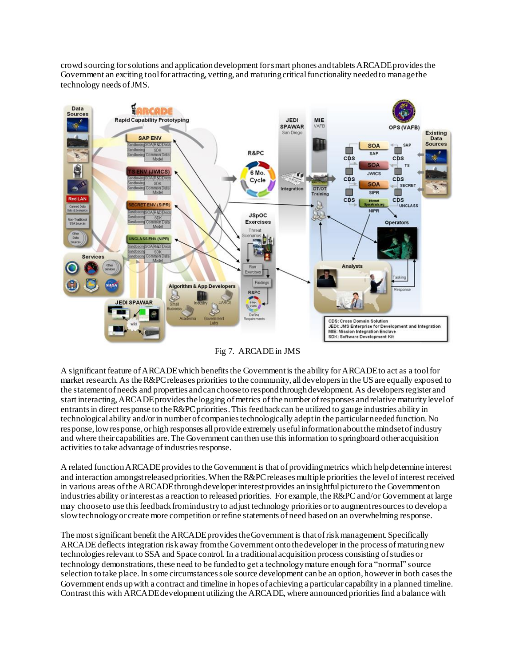crowd sourcing for solutions and application development for smart phones and tablets ARCADE provides the Government an exciting tool for attracting, vetting, and maturing critical functionality needed to manage the technology needs of JMS.



Fig 7. ARCADE in JMS

A significant feature of ARCADE which benefits the Government is the ability for ARCADE to act as a tool for market research. As the R&PC releases priorities to the community, all developers in the US are equally exposed to the statement of needs and properties and can choose to respond through development. As developers register and start interacting,ARCADE provides the logging of metrics of the number of responses and relative maturity level of entrants in direct response to the R&PC priorities. This feedback can be utilized to gauge industries ability in technological ability and/or in number of companies technologically adept in the particular needed function. No response, low response, or high responses all provide extremely useful information about the mindset of industry and where their capabilities are. The Government can then use this information to springboard other acquisition activities to take advantage of industries response.

A related function ARCADE provides to the Government is that of providing metrics which help determine interest and interaction amongst released priorities. When the R&PC releases multiple priorities the level of interest received in various areas of the ARCADE through developer interest provides an insightful picture to the Government on industries ability or interest as a reaction to released priorities. For example, the R&PC and/or Government at large may choose to use this feedback from industry to adjust technology priorities or to augment resources to develop a slow technology or create more competition or refine statements of need based on an overwhelming response.

The mostsignificant benefit the ARCADE provides the Government is that of risk management. Specifically ARCADE deflects integration risk away from the Government onto the developer in the process of maturing new technologies relevant to SSA and Space control. In a traditional acquisition process consisting of studies or technology demonstrations, these need to be funded to get a technology mature enough for a "normal" source selection to take place. In some circumstances sole source development can be an option, however in both cases the Government ends up with a contract and timeline in hopes of achieving a particular capability in a planned timeline. Contrast this with ARCADE development utilizing the ARCADE, where announced priorities find a balance with